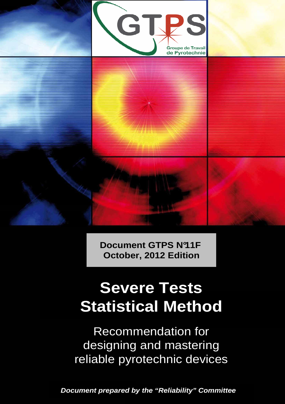

**Document GTPS N°11F October, 2012 Edition**

# **Severe Tests Statistical Method**

Recommendation for designing and mastering reliable pyrotechnic devices

**Document prepared by the "Reliability" Committee**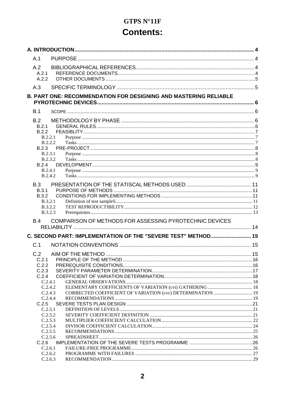## **GTPS N°11F Contents:**

| A.1                              |                                                                         |  |
|----------------------------------|-------------------------------------------------------------------------|--|
| A.2                              |                                                                         |  |
| A.2.1                            |                                                                         |  |
| A.2.2                            |                                                                         |  |
| A.3                              |                                                                         |  |
|                                  | <b>B. PART ONE: RECOMMENDATION FOR DESIGNING AND MASTERING RELIABLE</b> |  |
|                                  |                                                                         |  |
| B.1                              |                                                                         |  |
| B.2                              |                                                                         |  |
| B.2.1                            |                                                                         |  |
| B.2.2                            |                                                                         |  |
| B.2.2.1<br>B.2.2.2               |                                                                         |  |
| B.2.3                            |                                                                         |  |
| B.2.3.1                          |                                                                         |  |
| <b>B.2.3.2</b>                   |                                                                         |  |
| B.2.4<br>B.2.4.1                 |                                                                         |  |
| B.2.4.2                          |                                                                         |  |
| B.3                              |                                                                         |  |
| B.3.1                            |                                                                         |  |
| <b>B.3.2</b>                     |                                                                         |  |
| <b>B.3.2.1</b>                   |                                                                         |  |
| <b>B.3.2.2</b><br><b>B.3.2.3</b> |                                                                         |  |
| <b>B.4</b>                       | COMPARISON OF METHODS FOR ASSESSING PYROTECHNIC DEVICES                 |  |
|                                  |                                                                         |  |
|                                  | C. SECOND PART: IMPLEMENTATION OF THE "SEVERE TEST" METHOD 15           |  |
|                                  |                                                                         |  |
| C.1                              |                                                                         |  |
| C.2                              |                                                                         |  |
| C.2.1                            |                                                                         |  |
| C.2.2<br>C.2.3                   |                                                                         |  |
| C.2.4                            |                                                                         |  |
| C.2.4.1                          |                                                                         |  |
| C.2.4.2                          |                                                                         |  |
| C.2.4.3<br>C.2.4.4               | CORRECTED COEFFICIENT OF VARIATION (cvc) DETERMINATION  19              |  |
| C.2.5                            |                                                                         |  |
| C.2.5.1                          |                                                                         |  |
| C.2.5.2                          |                                                                         |  |
| C.2.5.3<br>C.2.5.4               |                                                                         |  |
| C.2.5.5                          |                                                                         |  |
| C.2.5.6                          |                                                                         |  |
| C.2.6                            |                                                                         |  |
| C.2.6.1<br>C.2.6.2               |                                                                         |  |
| C.2.6.3                          |                                                                         |  |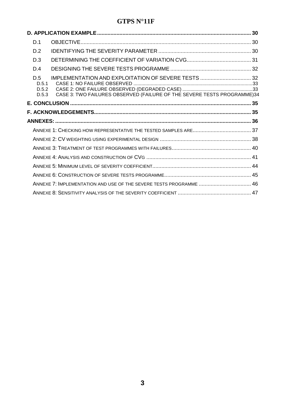| D.1                            |                                                                         |  |
|--------------------------------|-------------------------------------------------------------------------|--|
| D.2                            |                                                                         |  |
| D.3                            |                                                                         |  |
| D.4                            |                                                                         |  |
| D.5<br>D.5.1<br>D.5.2<br>D.5.3 | CASE 3: TWO FAILURES OBSERVED (FAILURE OF THE SEVERE TESTS PROGRAMME)34 |  |
|                                |                                                                         |  |
|                                |                                                                         |  |
|                                |                                                                         |  |
|                                |                                                                         |  |
|                                |                                                                         |  |
|                                |                                                                         |  |
|                                |                                                                         |  |
|                                |                                                                         |  |
|                                |                                                                         |  |
|                                |                                                                         |  |
|                                | ANNEXE 7: IMPLEMENTATION AND USE OF THE SEVERE TESTS PROGRAMME  46      |  |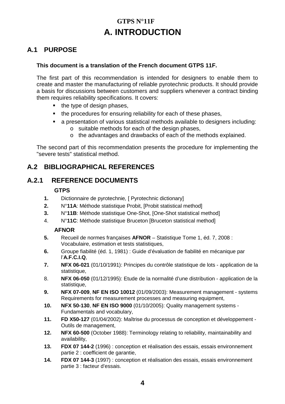## **GTPS N°11F A. INTRODUCTION**

#### **A.1 PURPOSE**

#### **This document is a translation of the French document GTPS 11F.**

The first part of this recommendation is intended for designers to enable them to create and master the manufacturing of reliable pyrotechnic products. It should provide a basis for discussions between customers and suppliers whenever a contract binding them requires reliability specifications. It covers:

- the type of design phases.
- the procedures for ensuring reliability for each of these phases,
- a presentation of various statistical methods available to designers including:
	- o suitable methods for each of the design phases,
	- o the advantages and drawbacks of each of the methods explained.

The second part of this recommendation presents the procedure for implementing the "severe tests" statistical method.

#### **A.2 BIBLIOGRAPHICAL REFERENCES**

#### **A.2.1 REFERENCE DOCUMENTS**

#### **GTPS**

- **1.** Dictionnaire de pyrotechnie, [ Pyrotechnic dictionary]
- **2.** N°**11A**: Méthode statistique Probit, [Probit statistical method]
- **3.** N°**11B**: Méthode statistique One-Shot, [One-Shot statistical method]
- 4. N°**11C**: Méthode statistique Bruceton [Bruceton statistical method]

#### **AFNOR**

- **5.** Recueil de normes françaises **AFNOR** Statistique Tome 1, éd. 7, 2008 : Vocabulaire, estimation et tests statistiques,
- **6.** Groupe fiabilité (éd. 1, 1981) : Guide d'évaluation de fiabilité en mécanique par l'**A.F.C.I.Q**,
- **7. NFX 06-021** (01/10/1991): Principes du contrôle statistique de lots application de la statistique,
- 8. **NFX 06-050** (01/12/1995): Etude de la normalité d'une distribution application de la statistique,
- **9. NFX 07-009**, **NF EN ISO 10012** (01/09/2003): Measurement management systems Requirements for measurement processes and measuring equipment,
- **10. NFX 50-130**, **NF EN ISO 9000** (01/10/2005): Quality management systems Fundamentals and vocabulary,
- **11. FD X50-127** (01/04/2002): Maîtrise du processus de conception et développement Outils de management,
- **12. NFX 60-500** (October 1988): Terminology relating to reliability, maintainability and availability,
- **13. FDX 07 144-2** (1996) : conception et réalisation des essais, essais environnement partie 2 : coefficient de garantie,
- **14. FDX 07 144-3** (1997) : conception et réalisation des essais, essais environnement partie 3 : facteur d'essais.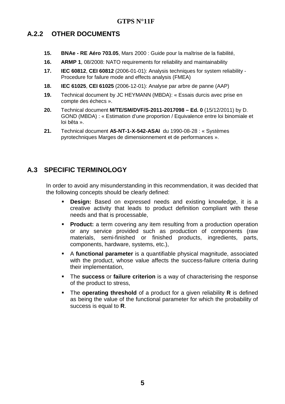#### **A.2.2 OTHER DOCUMENTS**

- **15. BNAe RE Aéro 703.05**, Mars 2000 : Guide pour la maîtrise de la fiabilité,
- **16. ARMP 1**, 08/2008: NATO requirements for reliability and maintainability
- **17. IEC 60812**, **CEI 60812** (2006-01-01): Analysis techniques for system reliability Procedure for failure mode and effects analysis (FMEA)
- **18. IEC 61025**, **CEI 61025** (2006-12-01): Analyse par arbre de panne (AAP)
- **19.** Technical document by JC HEYMANN (MBDA): « Essais durcis avec prise en compte des échecs ».
- **20.** Technical document **M/TE/SM/DVF/S-2011-2017098 Ed. 0** (15/12/2011) by D. GOND (MBDA) : « Estimation d'une proportion / Equivalence entre loi binomiale et loi bêta ».
- **21.** Technical document **A5-NT-1-X-542-ASAI** du 1990-08-28 : « Systèmes pyrotechniques Marges de dimensionnement et de performances ».

#### **A.3 SPECIFIC TERMINOLOGY**

In order to avoid any misunderstanding in this recommendation, it was decided that the following concepts should be clearly defined:

- **Design:** Based on expressed needs and existing knowledge, it is a creative activity that leads to product definition compliant with these needs and that is processable,
- **Product:** a term covering any item resulting from a production operation or any service provided such as production of components (raw materials, semi-finished or finished products, ingredients, parts, components, hardware, systems, etc.),
- A **functional parameter** is a quantifiable physical magnitude, associated with the product, whose value affects the success-failure criteria during their implementation,
- The **success** or **failure criterion** is a way of characterising the response of the product to stress,
- The **operating threshold** of a product for a given reliability **R** is defined as being the value of the functional parameter for which the probability of success is equal to **R**.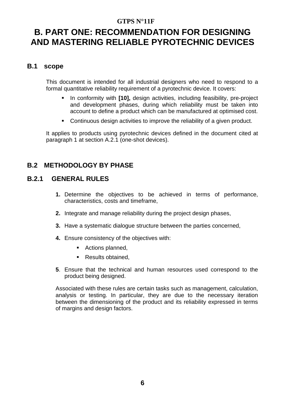## **B. PART ONE: RECOMMENDATION FOR DESIGNING AND MASTERING RELIABLE PYROTECHNIC DEVICES**

#### **B.1 scope**

This document is intended for all industrial designers who need to respond to a formal quantitative reliability requirement of a pyrotechnic device. It covers:

- In conformity with **[10],** design activities, including feasibility, pre-project and development phases, during which reliability must be taken into account to define a product which can be manufactured at optimised cost.
- Continuous design activities to improve the reliability of a given product.

It applies to products using pyrotechnic devices defined in the document cited at paragraph 1 at section A.2.1 (one-shot devices).

#### **B.2 METHODOLOGY BY PHASE**

#### **B.2.1 GENERAL RULES**

- **1.** Determine the objectives to be achieved in terms of performance, characteristics, costs and timeframe,
- **2.** Integrate and manage reliability during the project design phases,
- **3.** Have a systematic dialogue structure between the parties concerned,
- **4.** Ensure consistency of the objectives with:
	- Actions planned,
	- Results obtained,
- **5**. Ensure that the technical and human resources used correspond to the product being designed.

Associated with these rules are certain tasks such as management, calculation, analysis or testing. In particular, they are due to the necessary iteration between the dimensioning of the product and its reliability expressed in terms of margins and design factors.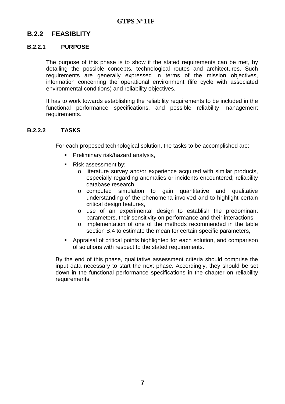#### **B.2.2 FEASIBLITY**

#### **B.2.2.1 PURPOSE**

The purpose of this phase is to show if the stated requirements can be met, by detailing the possible concepts, technological routes and architectures. Such requirements are generally expressed in terms of the mission objectives, information concerning the operational environment (life cycle with associated environmental conditions) and reliability objectives.

It has to work towards establishing the reliability requirements to be included in the functional performance specifications, and possible reliability management requirements.

#### **B.2.2.2 TASKS**

For each proposed technological solution, the tasks to be accomplished are:

- **Preliminary risk/hazard analysis,**
- Risk assessment by:
	- o literature survey and/or experience acquired with similar products, especially regarding anomalies or incidents encountered; reliability database research,
	- o computed simulation to gain quantitative and qualitative understanding of the phenomena involved and to highlight certain critical design features,
	- o use of an experimental design to establish the predominant parameters, their sensitivity on performance and their interactions,
	- o implementation of one of the methods recommended in the table section B.4 to estimate the mean for certain specific parameters,
- Appraisal of critical points highlighted for each solution, and comparison of solutions with respect to the stated requirements.

By the end of this phase, qualitative assessment criteria should comprise the input data necessary to start the next phase. Accordingly, they should be set down in the functional performance specifications in the chapter on reliability requirements.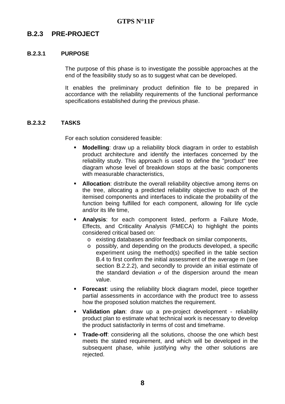#### **B.2.3 PRE-PROJECT**

#### **B.2.3.1 PURPOSE**

The purpose of this phase is to investigate the possible approaches at the end of the feasibility study so as to suggest what can be developed.

It enables the preliminary product definition file to be prepared in accordance with the reliability requirements of the functional performance specifications established during the previous phase.

#### **B.2.3.2 TASKS**

For each solution considered feasible:

- **Modelling**: draw up a reliability block diagram in order to establish product architecture and identify the interfaces concerned by the reliability study. This approach is used to define the "product" tree diagram whose level of breakdown stops at the basic components with measurable characteristics,
- **Allocation:** distribute the overall reliability objective among items on the tree, allocating a predicted reliability objective to each of the itemised components and interfaces to indicate the probability of the function being fulfilled for each component, allowing for life cycle and/or its life time,
- **Analysis**: for each component listed, perform a Failure Mode, Effects, and Criticality Analysis (FMECA) to highlight the points considered critical based on:
	- o existing databases and/or feedback on similar components,
	- o possibly, and depending on the products developed, a specific experiment using the method(s) specified in the table section B.4 to first confirm the initial assessment of the average m (see section B.2.2.2), and secondly to provide an initial estimate of the standard deviation  $\sigma$  of the dispersion around the mean value.
- **Forecast:** using the reliability block diagram model, piece together partial assessments in accordance with the product tree to assess how the proposed solution matches the requirement.
- **Validation plan**: draw up a pre-project development reliability product plan to estimate what technical work is necessary to develop the product satisfactorily in terms of cost and timeframe.
- **Trade-off:** considering all the solutions, choose the one which best meets the stated requirement, and which will be developed in the subsequent phase, while justifying why the other solutions are rejected.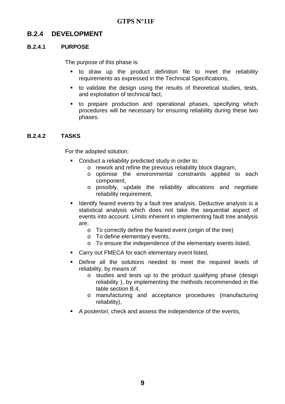#### **B.2.4 DEVELOPMENT**

#### **B.2.4.1 PURPOSE**

The purpose of this phase is:

- to draw up the product definition file to meet the reliability requirements as expressed in the Technical Specifications,
- to validate the design using the results of theoretical studies, tests, and exploitation of technical fact,
- to prepare production and operational phases, specifying which procedures will be necessary for ensuring reliability during these two phases.

#### **B.2.4.2 TASKS**

For the adopted solution:

- **Conduct a reliability predicted study in order to:** 
	- o rework and refine the previous reliability block diagram,
	- o optimise the environmental constraints applied to each component,
	- o possibly, update the reliability allocations and negotiate reliability requirement,
- **If Identify feared events by a fault tree analysis. Deductive analysis is a** statistical analysis which does not take the sequential aspect of events into account. Limits inherent in implementing fault tree analysis are:
	- o To correctly define the feared event (origin of the tree)
	- o To define elementary events,
	- o To ensure the independence of the elementary events listed,
- Carry out FMECA for each elementary event listed,
- Define all the solutions needed to meet the required levels of reliability, by means of:
	- o studies and tests up to the product qualifying phase (design reliability ), by implementing the methods recommended in the table section B.4,
	- o manufacturing and acceptance procedures (manufacturing reliability),
- A posteriori, check and assess the independence of the events,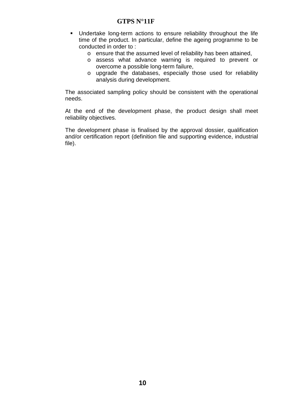- Undertake long-term actions to ensure reliability throughout the life time of the product. In particular, define the ageing programme to be conducted in order to :
	- o ensure that the assumed level of reliability has been attained,
	- o assess what advance warning is required to prevent or overcome a possible long-term failure,
	- o upgrade the databases, especially those used for reliability analysis during development.

The associated sampling policy should be consistent with the operational needs.

At the end of the development phase, the product design shall meet reliability objectives.

The development phase is finalised by the approval dossier, qualification and/or certification report (definition file and supporting evidence, industrial file).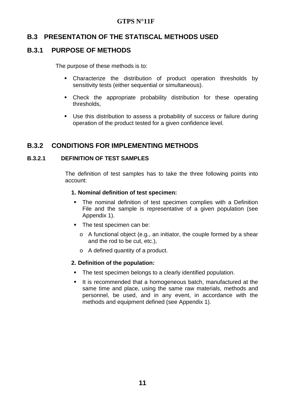#### **B.3 PRESENTATION OF THE STATISCAL METHODS USED**

#### **B.3.1 PURPOSE OF METHODS**

The purpose of these methods is to:

- Characterize the distribution of product operation thresholds by sensitivity tests (either sequential or simultaneous).
- Check the appropriate probability distribution for these operating thresholds,
- Use this distribution to assess a probability of success or failure during operation of the product tested for a given confidence level.

#### **B.3.2 CONDITIONS FOR IMPLEMENTING METHODS**

#### **B.3.2.1 DEFINITION OF TEST SAMPLES**

The definition of test samples has to take the three following points into account:

#### **1. Nominal definition of test specimen:**

- The nominal definition of test specimen complies with a Definition File and the sample is representative of a given population (see Appendix 1).
- The test specimen can be:
	- o A functional object (e.g., an initiator, the couple formed by a shear and the rod to be cut, etc.),
	- o A defined quantity of a product.

#### **2. Definition of the population:**

- The test specimen belongs to a clearly identified population.
- It is recommended that a homogeneous batch, manufactured at the same time and place, using the same raw materials, methods and personnel, be used, and in any event, in accordance with the methods and equipment defined (see Appendix 1).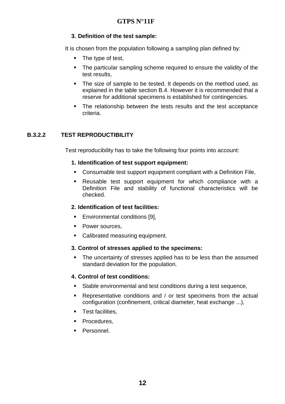#### **3. Definition of the test sample:**

It is chosen from the population following a sampling plan defined by:

- $\blacksquare$  The type of test,
- The particular sampling scheme required to ensure the validity of the test results,
- The size of sample to be tested. It depends on the method used, as explained in the table section B.4. However it is recommended that a reserve for additional specimens is established for contingencies.
- The relationship between the tests results and the test acceptance criteria.

#### **B.3.2.2 TEST REPRODUCTIBILITY**

Test reproducibility has to take the following four points into account:

#### **1. Identification of test support equipment:**

- Consumable test support equipment compliant with a Definition File,
- Reusable test support equipment for which compliance with a Definition File and stability of functional characteristics will be checked.

#### **2. Identification of test facilities:**

- **Environmental conditions [9],**
- Power sources.
- Calibrated measuring equipment.

#### **3. Control of stresses applied to the specimens:**

• The uncertainty of stresses applied has to be less than the assumed standard deviation for the population.

#### **4. Control of test conditions:**

- Stable environmental and test conditions during a test sequence,
- Representative conditions and / or test specimens from the actual configuration (confinement, critical diameter, heat exchange ...),
- **Test facilities,**
- **Procedures,**
- **Personnel.**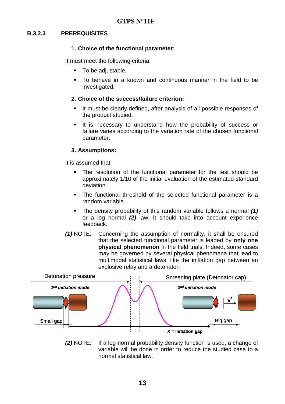#### **B.3.2.3 PREREQUISITES**

#### **1. Choice of the functional parameter:**

It must meet the following criteria:

- To be adjustable,
- To behave in a known and continuous manner in the field to be investigated.

#### **2. Choice of the success/failure criterion:**

- It must be clearly defined, after analysis of all possible responses of the product studied.
- It is necessary to understand how the probability of success or failure varies according to the variation rate of the chosen functional parameter.

#### **3. Assumptions:**

It is assumed that:

- The resolution of the functional parameter for the test should be approximately 1/10 of the initial evaluation of the estimated standard deviation.
- The functional threshold of the selected functional parameter is a random variable.
- The density probability of this random variable follows a normal **(1)** or a log normal **(2)** law. It should take into account experience feedback.
- **(1)** NOTE: Concerning the assumption of normality, it shall be ensured that the selected functional parameter is leaded by **only one physical phenomenon** in the field trials. Indeed, some cases may be governed by several physical phenomena that lead to multimodal statistical laws, like the initiation gap between an explosive relay and a detonator:



**(2)** NOTE: If a log-normal probability density function is used, a change of variable will be done in order to reduce the studied case to a normal statistical law.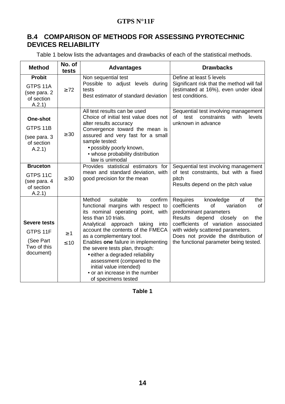#### **B.4 COMPARISON OF METHODS FOR ASSESSING PYROTECHNIC DEVICES RELIABILITY**

Table 1 below lists the advantages and drawbacks of each of the statistical methods.

| <b>Method</b>                                    | No. of<br>tests | <b>Advantages</b>                                                                 | <b>Drawbacks</b>                                                                                       |
|--------------------------------------------------|-----------------|-----------------------------------------------------------------------------------|--------------------------------------------------------------------------------------------------------|
| <b>Probit</b>                                    |                 | Non sequential test                                                               | Define at least 5 levels                                                                               |
| GTPS 11A<br>(see para. 2<br>of section<br>A.2.1) | $\geq 72$       | Possible to adjust levels during<br>tests<br>Best estimator of standard deviation | Significant risk that the method will fail<br>(estimated at 16%), even under ideal<br>test conditions. |
|                                                  |                 | All test results can be used                                                      | Sequential test involving management                                                                   |
| <b>One-shot</b>                                  |                 | Choice of initial test value does not<br>alter results accuracy                   | of test<br>with<br>constraints<br>levels<br>unknown in advance                                         |
| GTPS 11B                                         |                 | Convergence toward the mean is                                                    |                                                                                                        |
| (see para. 3<br>of section                       | $\geq 30$       | assured and very fast for a small<br>sample tested:                               |                                                                                                        |
| A.2.1)                                           |                 | · possibly poorly known,                                                          |                                                                                                        |
|                                                  |                 | • whose probability distribution<br>law is unimodal                               |                                                                                                        |
| <b>Bruceton</b>                                  |                 | Provides statistical estimators for                                               | Sequential test involving management                                                                   |
| GTPS 11C                                         | $\geq 30$       | mean and standard deviation, with<br>good precision for the mean                  | of test constraints, but with a fixed<br>pitch                                                         |
| (see para. 4<br>of section                       |                 |                                                                                   | Results depend on the pitch value                                                                      |
| A.2.1)                                           |                 |                                                                                   |                                                                                                        |
|                                                  |                 | Method<br>suitable<br>confirm<br>to                                               | Requires<br>knowledge<br><b>of</b><br>the<br>coefficients<br>of                                        |
|                                                  |                 | functional margins with respect to<br>its nominal operating point, with           | variation<br><b>of</b><br>predominant parameters                                                       |
|                                                  |                 | less than 10 trials.                                                              | <b>Results</b><br>depend closely<br>the<br>on                                                          |
| Severe tests                                     |                 | Analytical approach taking<br>into<br>account the contents of the FMECA           | coefficients of variation associated<br>with widely scattered parameters.                              |
| GTPS 11F                                         | $\geq 1$        | as a complementary tool.                                                          | Does not provide the distribution of                                                                   |
| (See Part<br>Two of this                         | $\leq 10$       | Enables one failure in implementing                                               | the functional parameter being tested.                                                                 |
| document)                                        |                 | the severe tests plan, through:<br>• either a degraded reliability                |                                                                                                        |
|                                                  |                 | assessment (compared to the                                                       |                                                                                                        |
|                                                  |                 | initial value intended)                                                           |                                                                                                        |
|                                                  |                 | • or an increase in the number                                                    |                                                                                                        |
|                                                  |                 | of specimens tested                                                               |                                                                                                        |

**Table 1**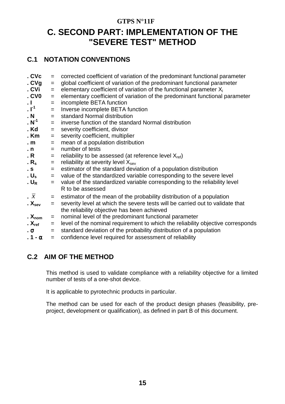## **C. SECOND PART: IMPLEMENTATION OF THE "SEVERE TEST" METHOD**

#### **C.1 NOTATION CONVENTIONS**

| . CVc                   | $=$ | corrected coefficient of variation of the predominant functional parameter      |
|-------------------------|-----|---------------------------------------------------------------------------------|
| . $CVg$                 | $=$ | global coefficient of variation of the predominant functional parameter         |
| . CVi                   | $=$ | elementary coefficient of variation of the functional parameter $X_i$           |
| .CV0                    | $=$ | elementary coefficient of variation of the predominant functional parameter     |
| $\cdot$ 1               | $=$ | incomplete BETA function                                                        |
| $\cdot$ $\mathsf{I}^1$  | $=$ | Inverse incomplete BETA function                                                |
| . N                     | $=$ | standard Normal distribution                                                    |
| $\cdot$ N <sup>-1</sup> | $=$ | inverse function of the standard Normal distribution                            |
| . Kd                    | $=$ | severity coefficient, divisor                                                   |
| . Km                    | $=$ | severity coefficient, multiplier                                                |
| . $m$                   | $=$ | mean of a population distribution                                               |
| . n                     | $=$ | number of tests                                                                 |
| . R                     | $=$ | reliability to be assessed (at reference level $X_{ref}$ )                      |
| . $R_{\rm s}$           | $=$ | reliability at severity level $X_{\text{sev}}$                                  |
| . <b>s</b>              | $=$ | estimator of the standard deviation of a population distribution                |
| . $U_s$                 | $=$ | value of the standardized variable corresponding to the severe level            |
| . $U_R$                 | $=$ | value of the standardized variable corresponding to the reliability level       |
|                         |     | R to be assessed                                                                |
| $\bar{x}$               | $=$ | estimator of the mean of the probability distribution of a population           |
| . $X_{\text{sev}}$      | $=$ | severity level at which the severe tests will be carried out to validate that   |
|                         |     | the reliability objective has been achieved                                     |
| . $X_{nom}$             | $=$ | nominal level of the predominant functional parameter                           |
| . $X_{ref}$             | $=$ | level of the nominal requirement to which the reliability objective corresponds |
| . $\sigma$              | $=$ | standard deviation of the probability distribution of a population              |
| . 1 - α                 | $=$ | confidence level required for assessment of reliability                         |
|                         |     |                                                                                 |

#### **C.2 AIM OF THE METHOD**

This method is used to validate compliance with a reliability objective for a limited number of tests of a one-shot device.

It is applicable to pyrotechnic products in particular.

The method can be used for each of the product design phases (feasibility, preproject, development or qualification), as defined in part B of this document.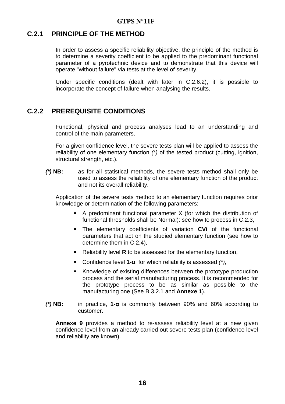#### **C.2.1 PRINCIPLE OF THE METHOD**

In order to assess a specific reliability objective, the principle of the method is to determine a severity coefficient to be applied to the predominant functional parameter of a pyrotechnic device and to demonstrate that this device will operate "without failure" via tests at the level of severity.

Under specific conditions (dealt with later in C.2.6.2), it is possible to incorporate the concept of failure when analysing the results.

#### **C.2.2 PREREQUISITE CONDITIONS**

Functional, physical and process analyses lead to an understanding and control of the main parameters.

For a given confidence level, the severe tests plan will be applied to assess the reliability of one elementary function (\*) of the tested product (cutting, ignition, structural strength, etc.).

**(\*) NB:** as for all statistical methods, the severe tests method shall only be used to assess the reliability of one elementary function of the product and not its overall reliability.

Application of the severe tests method to an elementary function requires prior knowledge or determination of the following parameters:

- A predominant functional parameter  $X$  (for which the distribution of functional thresholds shall be Normal): see how to process in C.2.3,
- The elementary coefficients of variation **CVi** of the functional parameters that act on the studied elementary function (see how to determine them in C.2.4),
- Reliability level **R** to be assessed for the elementary function,
- Confidence level **1-**α for which reliability is assessed (\*),
- Knowledge of existing differences between the prototype production process and the serial manufacturing process. It is recommended for the prototype process to be as similar as possible to the manufacturing one (See B.3.2.1 and **Annexe 1**).
- **(\*) NB:** in practice, **1-**α is commonly between 90% and 60% according to customer.

**Annexe 9** provides a method to re-assess reliability level at a new given confidence level from an already carried out severe tests plan (confidence level and reliability are known).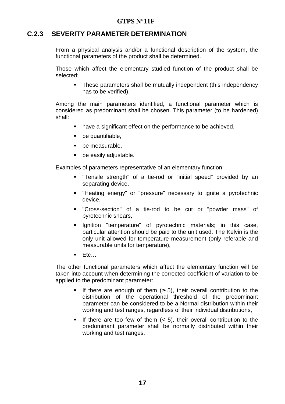#### **C.2.3 SEVERITY PARAMETER DETERMINATION**

From a physical analysis and/or a functional description of the system, the functional parameters of the product shall be determined.

Those which affect the elementary studied function of the product shall be selected:

**These parameters shall be mutually independent (this independency** has to be verified).

Among the main parameters identified, a functional parameter which is considered as predominant shall be chosen. This parameter (to be hardened) shall:

- have a significant effect on the performance to be achieved,
- be quantifiable,
- **be measurable.**
- **•** be easily adjustable.

Examples of parameters representative of an elementary function:

- "Tensile strength" of a tie-rod or "initial speed" provided by an separating device,
- "Heating energy" or "pressure" necessary to ignite a pyrotechnic device,
- "Cross-section" of a tie-rod to be cut or "powder mass" of pyrotechnic shears,
- **Ignition** "temperature" of pyrotechnic materials; in this case, particular attention should be paid to the unit used: The Kelvin is the only unit allowed for temperature measurement (only referable and measurable units for temperature),
- $E$ tc…

The other functional parameters which affect the elementary function will be taken into account when determining the corrected coefficient of variation to be applied to the predominant parameter:

- If there are enough of them  $(≥ 5)$ , their overall contribution to the distribution of the operational threshold of the predominant parameter can be considered to be a Normal distribution within their working and test ranges, regardless of their individual distributions,
- If there are too few of them  $(< 5)$ , their overall contribution to the predominant parameter shall be normally distributed within their working and test ranges.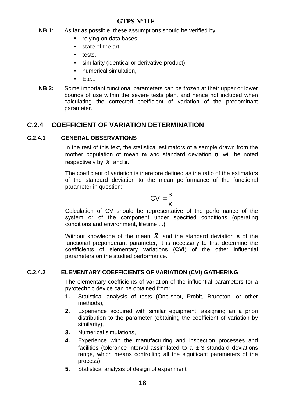- **NB 1:** As far as possible, these assumptions should be verified by:
	- relying on data bases,
	- state of the art,
	- $\blacksquare$  tests.
	- **similarity (identical or derivative product),**
	- **numerical simulation.**
	- $E$ tc...
- **NB 2:** Some important functional parameters can be frozen at their upper or lower bounds of use within the severe tests plan, and hence not included when calculating the corrected coefficient of variation of the predominant parameter.

#### **C.2.4 COEFFICIENT OF VARIATION DETERMINATION**

#### **C.2.4.1 GENERAL OBSERVATIONS**

In the rest of this text, the statistical estimators of a sample drawn from the mother population of mean **m** and standard deviation σ, will be noted respectively by  $\overline{x}$  and **s**.

The coefficient of variation is therefore defined as the ratio of the estimators of the standard deviation to the mean performance of the functional parameter in question:

$$
CV = \frac{s}{\overline{x}}
$$

Calculation of CV should be representative of the performance of the system or of the component under specified conditions (operating conditions and environment, lifetime ...).

Without knowledge of the mean  $\overline{x}$  and the standard deviation **s** of the functional preponderant parameter, it is necessary to first determine the coefficients of elementary variations (**CVi**) of the other influential parameters on the studied performance.

#### **C.2.4.2 ELEMENTARY COEFFICIENTS OF VARIATION (CVI) GATHERING**

The elementary coefficients of variation of the influential parameters for a pyrotechnic device can be obtained from:

- **1.** Statistical analysis of tests (One-shot, Probit, Bruceton, or other methods),
- **2.** Experience acquired with similar equipment, assigning an a priori distribution to the parameter (obtaining the coefficient of variation by similarity),
- **3.** Numerical simulations,
- **4.** Experience with the manufacturing and inspection processes and facilities (tolerance interval assimilated to  $a \pm 3$  standard deviations range, which means controlling all the significant parameters of the process),
- **5.** Statistical analysis of design of experiment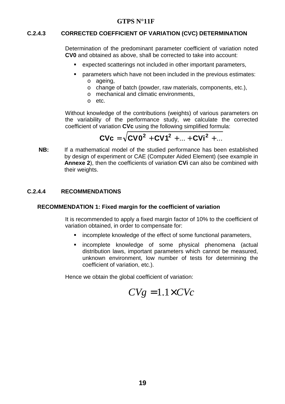#### **C.2.4.3 CORRECTED COEFFICIENT OF VARIATION (CVC) DETERMINATION**

Determination of the predominant parameter coefficient of variation noted **CV0** and obtained as above, shall be corrected to take into account:

- expected scatterings not included in other important parameters,
- parameters which have not been included in the previous estimates: o ageing,
	- o change of batch (powder, raw materials, components, etc.),
	- o mechanical and climatic environments,
	- o etc.

Without knowledge of the contributions (weights) of various parameters on the variability of the performance study, we calculate the corrected coefficient of variation **CVc** using the following simplified formula:

$$
CVC = \sqrt{CV0^2 + CV1^2 + ... + CV1^2 + ...}
$$

**NB:** If a mathematical model of the studied performance has been established by design of experiment or CAE (Computer Aided Element) (see example in **Annexe 2**), then the coefficients of variation **CVi** can also be combined with their weights.

#### **C.2.4.4 RECOMMENDATIONS**

#### **RECOMMENDATION 1: Fixed margin for the coefficient of variation**

It is recommended to apply a fixed margin factor of 10% to the coefficient of variation obtained, in order to compensate for:

- **EXEDERE** incomplete knowledge of the effect of some functional parameters,
- incomplete knowledge of some physical phenomena (actual distribution laws, important parameters which cannot be measured, unknown environment, low number of tests for determining the coefficient of variation, etc.).

Hence we obtain the global coefficient of variation:

$$
CVg = 1.1 \times CVc
$$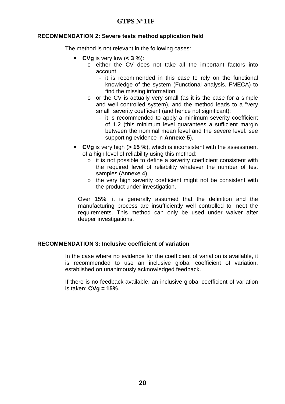#### **RECOMMENDATION 2: Severe tests method application field**

The method is not relevant in the following cases:

- **CVg** is very low (**< 3 %**):
	- o either the CV does not take all the important factors into account:
		- it is recommended in this case to rely on the functional knowledge of the system (Functional analysis, FMECA) to find the missing information,
	- o or the CV is actually very small (as it is the case for a simple and well controlled system), and the method leads to a "very small" severity coefficient (and hence not significant):
		- it is recommended to apply a minimum severity coefficient of 1.2 (this minimum level guarantees a sufficient margin between the nominal mean level and the severe level: see supporting evidence in **Annexe 5**).
- **CVg** is very high (**> 15 %**), which is inconsistent with the assessment of a high level of reliability using this method:
	- o it is not possible to define a severity coefficient consistent with the required level of reliability whatever the number of test samples (Annexe 4),
	- o the very high severity coefficient might not be consistent with the product under investigation.

Over 15%, it is generally assumed that the definition and the manufacturing process are insufficiently well controlled to meet the requirements. This method can only be used under waiver after deeper investigations.

#### **RECOMMENDATION 3: Inclusive coefficient of variation**

In the case where no evidence for the coefficient of variation is available, it is recommended to use an inclusive global coefficient of variation, established on unanimously acknowledged feedback.

If there is no feedback available, an inclusive global coefficient of variation is taken: **CVg = 15%**.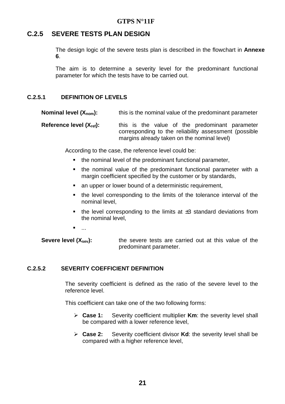#### **C.2.5 SEVERE TESTS PLAN DESIGN**

The design logic of the severe tests plan is described in the flowchart in **Annexe 6**.

The aim is to determine a severity level for the predominant functional parameter for which the tests have to be carried out.

#### **C.2.5.1 DEFINITION OF LEVELS**

**Nominal level (Xnom):** this is the nominal value of the predominant parameter

**Reference level (X<sub>ref</sub>):** this is the value of the predominant parameter corresponding to the reliability assessment (possible margins already taken on the nominal level)

According to the case, the reference level could be:

- the nominal level of the predominant functional parameter,
- the nominal value of the predominant functional parameter with a margin coefficient specified by the customer or by standards,
- **an upper or lower bound of a deterministic requirement,**
- the level corresponding to the limits of the tolerance interval of the nominal level,
- the level corresponding to the limits at  $\pm 3$  standard deviations from the nominal level,
- ...

**Severe level (X<sub>sev</sub>):** the severe tests are carried out at this value of the predominant parameter.

#### **C.2.5.2 SEVERITY COEFFICIENT DEFINITION**

The severity coefficient is defined as the ratio of the severe level to the reference level.

This coefficient can take one of the two following forms:

- $\triangleright$  Case 1: Severity coefficient multiplier **Km**: the severity level shall be compared with a lower reference level,
- $\triangleright$  Case 2: Severity coefficient divisor **Kd**: the severity level shall be compared with a higher reference level,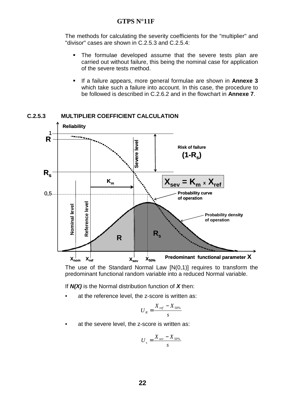The methods for calculating the severity coefficients for the "multiplier" and "divisor" cases are shown in C.2.5.3 and C.2.5.4:

- The formulae developed assume that the severe tests plan are carried out without failure, this being the nominal case for application of the severe tests method.
- If a failure appears, more general formulae are shown in **Annexe 3** which take such a failure into account. In this case, the procedure to be followed is described in C.2.6.2 and in the flowchart in **Annexe 7**.



#### **C.2.5.3 MULTIPLIER COEFFICIENT CALCULATION**

The use of the Standard Normal Law [N(0,1)] requires to transform the predominant functional random variable into a reduced Normal variable.

If **N(X)** is the Normal distribution function of **X** then:

at the reference level, the z-score is written as:

$$
U_R = \frac{X_{ref} - X_{50\%}}{s}
$$

at the severe level, the z-score is written as:

$$
U_s = \frac{X_{\text{sev}} - X_{50\%}}{s}
$$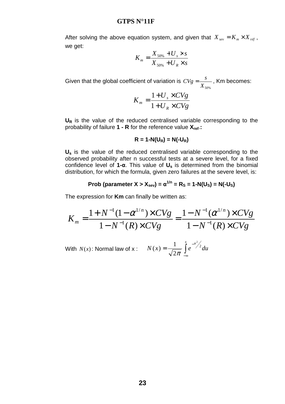After solving the above equation system, and given that  $X_{\text{sev}} = K_m \times X_{\text{ref}}$ , we get:

$$
K_m = \frac{X_{50\%} + U_s \times s}{X_{50\%} + U_R \times s}
$$

Given that the global coefficient of variation is  $X^{\,}_{50\%}$  $CVg = \frac{s}{V}$ , Km becomes:

$$
K_m = \frac{1 + U_s \times CVg}{1 + U_R \times CVg}
$$

U<sub>R</sub> is the value of the reduced centralised variable corresponding to the probability of failure **1 - R** for the reference value **Xref**.**:** 

$$
R = 1 - N(U_R) = N(-U_R)
$$

**Us** is the value of the reduced centralised variable corresponding to the observed probability after n successful tests at a severe level, for a fixed confidence level of **1-**α. This value of **Us** is determined from the binomial distribution, for which the formula, given zero failures at the severe level, is:

$$
Prob (parameter X > Xsev) = \alpha^{1/n} = R_S = 1 - N(U_S) = N(-U_S)
$$

The expression for **Km** can finally be written as:

$$
K_m = \frac{1 + N^{-1}(1 - \alpha^{1/n}) \times CVg}{1 - N^{-1}(R) \times CVg} = \frac{1 - N^{-1}(\alpha^{1/n}) \times CVg}{1 - N^{-1}(R) \times CVg}
$$

With  $N(x)$ : Normal law of x :  $N(x) = \frac{1}{\sqrt{2\pi}} \int$ −∞  $=\frac{1}{\sqrt{2}}\int e^{-}$  $N(x) = \frac{1}{\sqrt{2}} \int_{0}^{x} e^{-u^2/2} du$ 2 1  $(x)$ π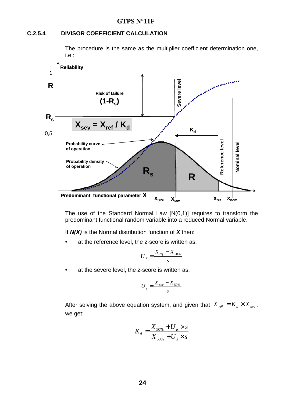#### **C.2.5.4 DIVISOR COEFFICIENT CALCULATION**

The procedure is the same as the multiplier coefficient determination one, i.e.:



The use of the Standard Normal Law [N(0,1)] requires to transform the predominant functional random variable into a reduced Normal variable.

If **N(X)** is the Normal distribution function of **X** then:

at the reference level, the z-score is written as:

$$
U_R = \frac{X_{ref} - X_{50\%}}{s}
$$

at the severe level, the z-score is written as:

$$
U_s = \frac{X_{\text{sev}} - X_{50\%}}{s}
$$

After solving the above equation system, and given that  $X_{ref} = K_d \times X_{ser}$ , we get:

$$
K_d = \frac{X_{50\%} + U_R \times s}{X_{50\%} + U_s \times s}
$$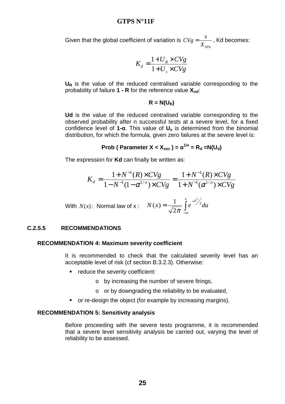Given that the global coefficient of variation is  $X$ <sub>50%</sub>  $CVg = \frac{s}{\sqrt{s}}$ , Kd becomes:

$$
K_d = \frac{1 + U_R \times CVg}{1 + U_s \times CVg}
$$

U<sub>R</sub> is the value of the reduced centralised variable corresponding to the probability of failure **1 - R** for the reference value **Xref**:

$$
R = N(U_R)
$$

**Ud** is the value of the reduced centralised variable corresponding to the observed probability after n successful tests at a severe level, for a fixed confidence level of **1-**α. This value of **Us** is determined from the binomial distribution, for which the formula, given zero failures at the severe level is:

$$
Prob (Parameter X < X_{sev}) = \alpha^{1/n} = R_d = N(U_d)
$$

The expression for **Kd** can finally be written as:

$$
K_d = \frac{1 + N^{-1}(R) \times CVg}{1 - N^{-1}(1 - \alpha^{1/n}) \times CVg} = \frac{1 + N^{-1}(R) \times CVg}{1 + N^{-1}(\alpha^{1/n}) \times CVg}
$$

With 
$$
N(x)
$$
: Normal law of x:  $N(x) = \frac{1}{\sqrt{2\pi}} \int_{-\infty}^{x} e^{-u^2/2} du$ 

#### **C.2.5.5 RECOMMENDATIONS**

#### **RECOMMENDATION 4: Maximum severity coefficient**

It is recommended to check that the calculated severity level has an acceptable level of risk (cf section B.3.2.3). Otherwise:

- **•** reduce the severity coefficient:
	- o by increasing the number of severe firings,
	- o or by downgrading the reliability to be evaluated,
- or re-design the object (for example by increasing margins).

#### **RECOMMENDATION 5: Sensitivity analysis**

Before proceeding with the severe tests programme, it is recommended that a severe level sensitivity analysis be carried out, varying the level of reliability to be assessed.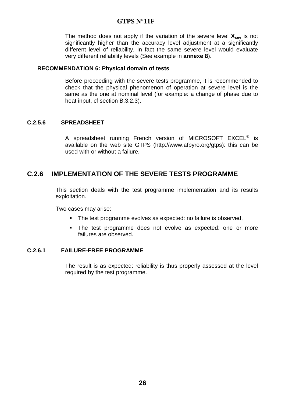The method does not apply if the variation of the severe level **Xsev** is not significantly higher than the accuracy level adjustment at a significantly different level of reliability. In fact the same severe level would evaluate very different reliability levels (See example in **annexe 8**).

#### **RECOMMENDATION 6: Physical domain of tests**

Before proceeding with the severe tests programme, it is recommended to check that the physical phenomenon of operation at severe level is the same as the one at nominal level (for example: a change of phase due to heat input, cf section B.3.2.3).

#### **C.2.5.6 SPREADSHEET**

A spreadsheet running French version of MICROSOFT EXCEL<sup>®</sup> is available on the web site GTPS (http://www.afpyro.org/gtps): this can be used with or without a failure.

#### **C.2.6 IMPLEMENTATION OF THE SEVERE TESTS PROGRAMME**

This section deals with the test programme implementation and its results exploitation.

Two cases may arise:

- The test programme evolves as expected: no failure is observed.
- The test programme does not evolve as expected: one or more failures are observed.

#### **C.2.6.1 FAILURE-FREE PROGRAMME**

The result is as expected: reliability is thus properly assessed at the level required by the test programme.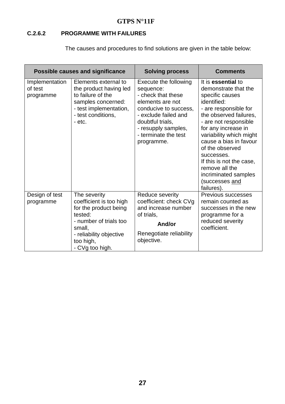#### **C.2.6.2 PROGRAMME WITH FAILURES**

The causes and procedures to find solutions are given in the table below:

|                                        | Possible causes and significance                                                                                                                                           | <b>Solving process</b>                                                                                                                                                                                         | <b>Comments</b>                                                                                                                                                                                                                                                                                                                                                             |
|----------------------------------------|----------------------------------------------------------------------------------------------------------------------------------------------------------------------------|----------------------------------------------------------------------------------------------------------------------------------------------------------------------------------------------------------------|-----------------------------------------------------------------------------------------------------------------------------------------------------------------------------------------------------------------------------------------------------------------------------------------------------------------------------------------------------------------------------|
| Implementation<br>of test<br>programme | Elements external to<br>the product having led<br>to failure of the<br>samples concerned:<br>- test implementation,<br>- test conditions,<br>- etc.                        | Execute the following<br>sequence:<br>- check that these<br>elements are not<br>conducive to success,<br>- exclude failed and<br>doubtful trials,<br>- resupply samples,<br>- terminate the test<br>programme. | It is essential to<br>demonstrate that the<br>specific causes<br>identified:<br>- are responsible for<br>the observed failures,<br>- are not responsible<br>for any increase in<br>variability which might<br>cause a bias in favour<br>of the observed<br>successes.<br>If this is not the case.<br>remove all the<br>incriminated samples<br>(successes and<br>failures). |
| Design of test<br>programme            | The severity<br>coefficient is too high<br>for the product being<br>tested:<br>- number of trials too<br>small,<br>- reliability objective<br>too high,<br>- CVg too high. | Reduce severity<br>coefficient: check CVg<br>and increase number<br>of trials,<br>And/or<br>Renegotiate reliability<br>objective.                                                                              | Previous successes<br>remain counted as<br>successes in the new<br>programme for a<br>reduced severity<br>coefficient.                                                                                                                                                                                                                                                      |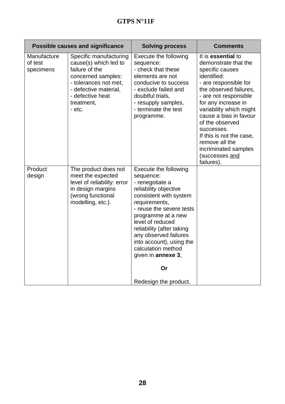|                                     | <b>Possible causes and significance</b>                                                                                                                                               | <b>Solving process</b>                                                                                                                                                                                                                                                                                                                                               | <b>Comments</b>                                                                                                                                                                                                                                                                                                                                                             |
|-------------------------------------|---------------------------------------------------------------------------------------------------------------------------------------------------------------------------------------|----------------------------------------------------------------------------------------------------------------------------------------------------------------------------------------------------------------------------------------------------------------------------------------------------------------------------------------------------------------------|-----------------------------------------------------------------------------------------------------------------------------------------------------------------------------------------------------------------------------------------------------------------------------------------------------------------------------------------------------------------------------|
| Manufacture<br>of test<br>specimens | Specific manufacturing<br>cause(s) which led to<br>failure of the<br>concerned samples:<br>- tolerances not met,<br>- defective material,<br>- defective heat<br>treatment,<br>- etc. | Execute the following<br>sequence:<br>- check that these<br>elements are not<br>conducive to success<br>- exclude failed and<br>doubtful trials,<br>- resupply samples,<br>- terminate the test<br>programme.                                                                                                                                                        | It is essential to<br>demonstrate that the<br>specific causes<br>identified:<br>- are responsible for<br>the observed failures,<br>- are not responsible<br>for any increase in<br>variability which might<br>cause a bias in favour<br>of the observed<br>successes.<br>If this is not the case,<br>remove all the<br>incriminated samples<br>(successes and<br>failures). |
| Product<br>design                   | The product does not<br>meet the expected<br>level of reliability: error<br>in design margins<br>(wrong functional<br>modelling, etc.).                                               | Execute the following<br>sequence:<br>- renegotiate a<br>reliability objective<br>consistent with system<br>requirements,<br>- reuse the severe tests<br>programme at a new<br>level of reduced<br>reliability (after taking<br>any observed failures<br>into account), using the<br>calculation method<br>given in <b>annexe 3</b> ,<br>Or<br>Redesign the product. |                                                                                                                                                                                                                                                                                                                                                                             |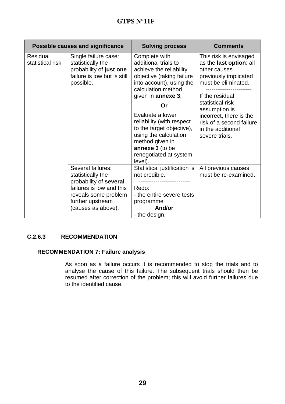|                                     | <b>Possible causes and significance</b>                                                                          | <b>Solving process</b>                                                                                                                                                         | <b>Comments</b>                                                                                                                      |
|-------------------------------------|------------------------------------------------------------------------------------------------------------------|--------------------------------------------------------------------------------------------------------------------------------------------------------------------------------|--------------------------------------------------------------------------------------------------------------------------------------|
| <b>Residual</b><br>statistical risk | Single failure case:<br>statistically the<br>probability of just one<br>failure is low but is still<br>possible. | Complete with<br>additional trials to<br>achieve the reliability<br>objective (taking failure<br>into account), using the<br>calculation method<br>given in annexe 3,          | This risk is envisaged<br>as the last option: all<br>other causes<br>previously implicated<br>must be eliminated.<br>If the residual |
|                                     |                                                                                                                  | Or                                                                                                                                                                             | statistical risk<br>assumption is                                                                                                    |
|                                     |                                                                                                                  | Evaluate a lower<br>reliability (with respect<br>to the target objective),<br>using the calculation<br>method given in<br>annexe 3 (to be<br>renegotiated at system<br>level). | incorrect, there is the<br>risk of a second failure<br>in the additional<br>severe trials.                                           |
|                                     | Several failures:<br>statistically the                                                                           | Statistical justification is<br>not credible.                                                                                                                                  | All previous causes<br>must be re-examined.                                                                                          |
|                                     | probability of several                                                                                           |                                                                                                                                                                                |                                                                                                                                      |
|                                     | failures is low and this                                                                                         | Redo:                                                                                                                                                                          |                                                                                                                                      |
|                                     | reveals some problem                                                                                             | - the entire severe tests                                                                                                                                                      |                                                                                                                                      |
|                                     | further upstream<br>(causes as above).                                                                           | programme<br>And/or                                                                                                                                                            |                                                                                                                                      |
|                                     |                                                                                                                  | - the design.                                                                                                                                                                  |                                                                                                                                      |

#### **C.2.6.3 RECOMMENDATION**

#### **RECOMMENDATION 7: Failure analysis**

As soon as a failure occurs it is recommended to stop the trials and to analyse the cause of this failure. The subsequent trials should then be resumed after correction of the problem; this will avoid further failures due to the identified cause.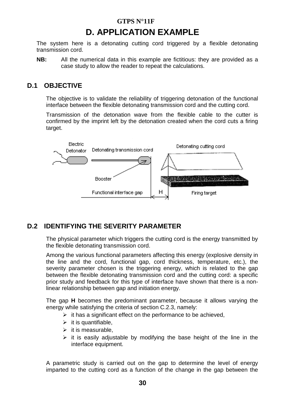## **D. APPLICATION EXAMPLE**

The system here is a detonating cutting cord triggered by a flexible detonating transmission cord.

**NB:** All the numerical data in this example are fictitious: they are provided as a case study to allow the reader to repeat the calculations.

#### **D.1 OBJECTIVE**

The objective is to validate the reliability of triggering detonation of the functional interface between the flexible detonating transmission cord and the cutting cord.

Transmission of the detonation wave from the flexible cable to the cutter is confirmed by the imprint left by the detonation created when the cord cuts a firing target.



#### **D.2 IDENTIFYING THE SEVERITY PARAMETER**

The physical parameter which triggers the cutting cord is the energy transmitted by the flexible detonating transmission cord.

Among the various functional parameters affecting this energy (explosive density in the line and the cord, functional gap, cord thickness, temperature, etc.), the severity parameter chosen is the triggering energy, which is related to the gap between the flexible detonating transmission cord and the cutting cord: a specific prior study and feedback for this type of interface have shown that there is a nonlinear relationship between gap and initiation energy.

The gap **H** becomes the predominant parameter, because it allows varying the energy while satisfying the criteria of section C.2.3, namely:

- $\triangleright$  it has a significant effect on the performance to be achieved,
- $\triangleright$  it is quantifiable,
- $\triangleright$  it is measurable,
- $\triangleright$  it is easily adjustable by modifying the base height of the line in the interface equipment.

A parametric study is carried out on the gap to determine the level of energy imparted to the cutting cord as a function of the change in the gap between the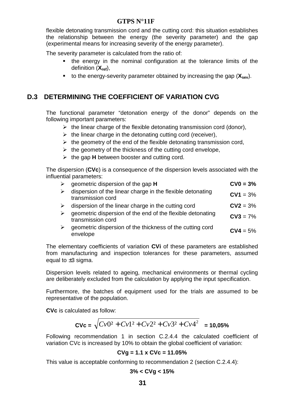flexible detonating transmission cord and the cutting cord: this situation establishes the relationship between the energy (the severity parameter) and the gap (experimental means for increasing severity of the energy parameter).

The severity parameter is calculated from the ratio of:

- the energy in the nominal configuration at the tolerance limits of the definition (**Xref**),
- to the energy-severity parameter obtained by increasing the gap (**Xsev**).

#### **D.3 DETERMINING THE COEFFICIENT OF VARIATION CVG**

The functional parameter "detonation energy of the donor" depends on the following important parameters:

- > the linear charge of the flexible detonating transmission cord (donor),
- $\triangleright$  the linear charge in the detonating cutting cord (receiver),
- $\triangleright$  the geometry of the end of the flexible detonating transmission cord,
- $\triangleright$  the geometry of the thickness of the cutting cord envelope,
- > the gap **H** between booster and cutting cord.

The dispersion (**CVc**) is a consequence of the dispersion levels associated with the influential parameters:

| geometric dispersion of the gap H                                               | $CV0 = 3%$ |
|---------------------------------------------------------------------------------|------------|
| dispersion of the linear charge in the flexible detonating<br>transmission cord | $CV1 = 3%$ |
| dispersion of the linear charge in the cutting cord                             | $CV2 = 3%$ |
| geometric dispersion of the end of the flexible detonating<br>transmission cord | $CV3 = 7%$ |
| geometric dispersion of the thickness of the cutting cord<br>envelope           | $CV4 = 5%$ |

The elementary coefficients of variation **CVi** of these parameters are established from manufacturing and inspection tolerances for these parameters, assumed equal to  $\pm 3$  sigma.

Dispersion levels related to ageing, mechanical environments or thermal cycling are deliberately excluded from the calculation by applying the input specification.

Furthermore, the batches of equipment used for the trials are assumed to be representative of the population.

**CVc** is calculated as follow:

$$
CVc = \sqrt{Cv0^2 + Cv1^2 + Cv2^2 + Cv3^2 + Cv4^2} = 10,05\%
$$

Following recommendation 1 in section C.2.4.4 the calculated coefficient of variation CVc is increased by 10% to obtain the global coefficient of variation:

#### **CVg = 1.1 x CVc = 11.05%**

This value is acceptable conforming to recommendation 2 (section C.2.4.4):

$$
3\% < CVg < 15\%
$$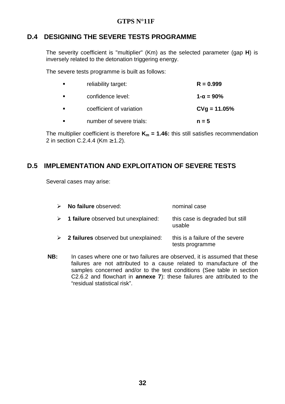#### **D.4 DESIGNING THE SEVERE TESTS PROGRAMME**

The severity coefficient is "multiplier" (Km) as the selected parameter (gap **H**) is inversely related to the detonation triggering energy.

The severe tests programme is built as follows:

| reliability target:      | $R = 0.999$         |
|--------------------------|---------------------|
| confidence level:        | $1 - \alpha = 90\%$ |
| coefficient of variation | $CVg = 11.05%$      |
| number of severe trials: | $n = 5$             |

The multiplier coefficient is therefore  $K_m = 1.46$ : this still satisfies recommendation 2 in section C.2.4.4 ( $\text{Km} \geq 1.2$ ).

#### **D.5 IMPLEMENTATION AND EXPLOITATION OF SEVERE TESTS**

Several cases may arise:

| $\triangleright$ No failure observed:                | nominal case                                       |
|------------------------------------------------------|----------------------------------------------------|
| $\triangleright$ 1 failure observed but unexplained: | this case is degraded but still<br>usable          |
| $\geq$ 2 failures observed but unexplained:          | this is a failure of the severe<br>tests programme |

**NB:** In cases where one or two failures are observed, it is assumed that these failures are not attributed to a cause related to manufacture of the samples concerned and/or to the test conditions (See table in section C2.6.2 and flowchart in **annexe 7**): these failures are attributed to the "residual statistical risk".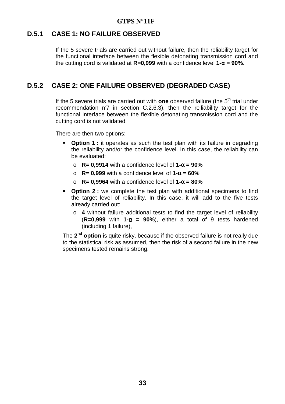#### **D.5.1 CASE 1: NO FAILURE OBSERVED**

If the 5 severe trials are carried out without failure, then the reliability target for the functional interface between the flexible detonating transmission cord and the cutting cord is validated at **R=0,999** with a confidence level **1-**α **= 90%**.

#### **D.5.2 CASE 2: ONE FAILURE OBSERVED (DEGRADED CASE)**

If the 5 severe trials are carried out with **one** observed failure (the 5<sup>th</sup> trial under recommendation n $\sigma$  in section C.2.6.3), then the reliability target for the functional interface between the flexible detonating transmission cord and the cutting cord is not validated.

There are then two options:

- **Option 1 :** it operates as such the test plan with its failure in degrading the reliability and/or the confidence level. In this case, the reliability can be evaluated:
	- o **R= 0,9914** with a confidence level of **1-**α **= 90%**
	- o **R= 0,999** with a confidence level of **1-**α **= 60%**
	- o **R= 0,9964** with a confidence level of **1-**α **= 80%**
- **Option 2 :** we complete the test plan with additional specimens to find the target level of reliability. In this case, it will add to the five tests already carried out:
	- o **4** without failure additional tests to find the target level of reliability (**R=0,999** with **1-**α **= 90%**), either a total of 9 tests hardened (including 1 failure),

The **2 nd option** is quite risky, because if the observed failure is not really due to the statistical risk as assumed, then the risk of a second failure in the new specimens tested remains strong.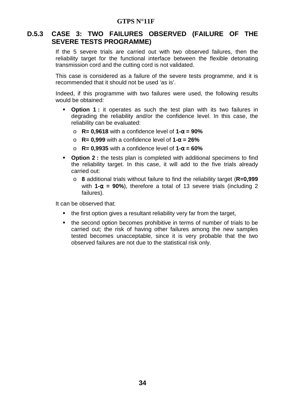#### **D.5.3 CASE 3: TWO FAILURES OBSERVED (FAILURE OF THE SEVERE TESTS PROGRAMME)**

If the 5 severe trials are carried out with two observed failures, then the reliability target for the functional interface between the flexible detonating transmission cord and the cutting cord is not validated.

This case is considered as a failure of the severe tests programme, and it is recommended that it should not be used 'as is'.

Indeed, if this programme with two failures were used, the following results would be obtained:

- **Option 1:** it operates as such the test plan with its two failures in degrading the reliability and/or the confidence level. In this case, the reliability can be evaluated:
	- o **R= 0,9618** with a confidence level of **1-**α **= 90%**
	- o **R= 0,999** with a confidence level of **1-**α **= 26%**
	- o **R= 0,9935** with a confidence level of **1-**α **= 60%**
- **Option 2 :** the tests plan is completed with additional specimens to find the reliability target. In this case, it will add to the five trials already carried out:
	- o **8** additional trials without failure to find the reliability target (**R=0,999** with **1-**α **= 90%**), therefore a total of 13 severe trials (including 2 failures).

It can be observed that:

- the first option gives a resultant reliability very far from the target,
- the second option becomes prohibitive in terms of number of trials to be carried out; the risk of having other failures among the new samples tested becomes unacceptable, since it is very probable that the two observed failures are not due to the statistical risk only.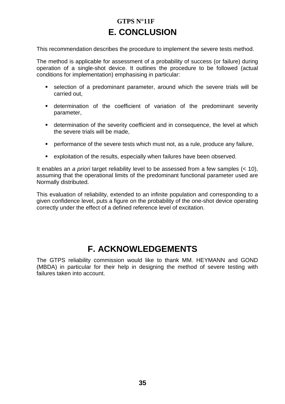## **GTPS N°11F E. CONCLUSION**

This recommendation describes the procedure to implement the severe tests method.

The method is applicable for assessment of a probability of success (or failure) during operation of a single-shot device. It outlines the procedure to be followed (actual conditions for implementation) emphasising in particular:

- selection of a predominant parameter, around which the severe trials will be carried out,
- determination of the coefficient of variation of the predominant severity parameter,
- determination of the severity coefficient and in consequence, the level at which the severe trials will be made,
- performance of the severe tests which must not, as a rule, produce any failure,
- exploitation of the results, especially when failures have been observed.

It enables an a priori target reliability level to be assessed from a few samples (< 10), assuming that the operational limits of the predominant functional parameter used are Normally distributed.

This evaluation of reliability, extended to an infinite population and corresponding to a given confidence level, puts a figure on the probability of the one-shot device operating correctly under the effect of a defined reference level of excitation.

## **F. ACKNOWLEDGEMENTS**

The GTPS reliability commission would like to thank MM. HEYMANN and GOND (MBDA) in particular for their help in designing the method of severe testing with failures taken into account.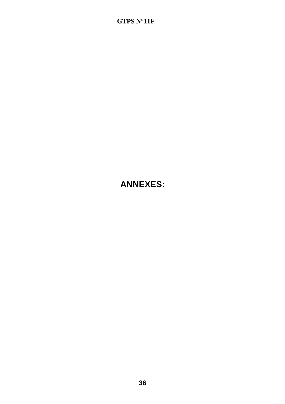## **ANNEXES:**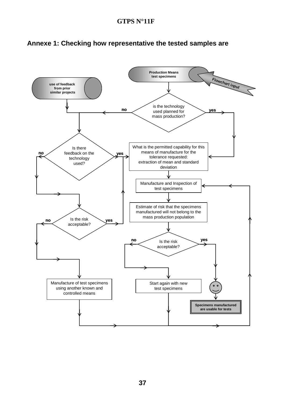

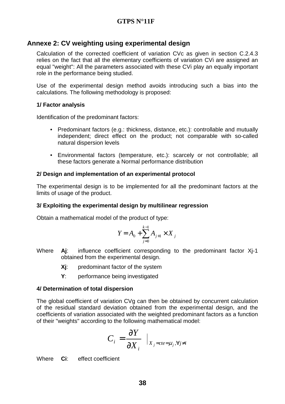#### **Annexe 2: CV weighting using experimental design**

Calculation of the corrected coefficient of variation CVc as given in section C.2.4.3 relies on the fact that all the elementary coefficients of variation CVi are assigned an equal "weight": All the parameters associated with these CVi play an equally important role in the performance being studied.

Use of the experimental design method avoids introducing such a bias into the calculations. The following methodology is proposed:

#### **1/ Factor analysis**

Identification of the predominant factors:

- Predominant factors (e.g.: thickness, distance, etc.): controllable and mutually independent; direct effect on the product; not comparable with so-called natural dispersion levels
- Environmental factors (temperature, etc.): scarcely or not controllable; all these factors generate a Normal performance distribution

#### **2/ Design and implementation of an experimental protocol**

The experimental design is to be implemented for all the predominant factors at the limits of usage of the product.

#### **3/ Exploiting the experimental design by multilinear regression**

Obtain a mathematical model of the product of type:

$$
Y = A_0 + \sum_{j=0}^{k-1} A_{j+1} \times X_j
$$

- Where **A**j: influence coefficient corresponding to the predominant factor Xi-1 obtained from the experimental design.
	- **Xj**: predominant factor of the system
	- **Y**: performance being investigated

#### **4/ Determination of total dispersion**

The global coefficient of variation CVg can then be obtained by concurrent calculation of the residual standard deviation obtained from the experimental design, and the coefficients of variation associated with the weighted predominant factors as a function of their "weights" according to the following mathematical model:

$$
C_i = \frac{\partial Y}{\partial X_i} \big|_{X_j = cte = \mu_j, \forall j \neq i}
$$

Where **Ci**: effect coefficient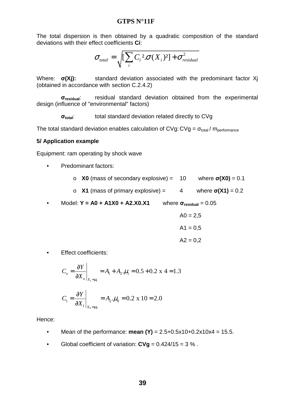The total dispersion is then obtained by a quadratic composition of the standard deviations with their effect coefficients **Ci**:

$$
\sigma_{\text{total}} = \sqrt{\left[\sum_{i} C_i^2 \sigma(X_i)^2\right] + \sigma_{\text{residual}}^2}
$$

Where: σ**(Xj):** standard deviation associated with the predominant factor Xj (obtained in accordance with section C.2.4.2)

 σ**residual**: residual standard deviation obtained from the experimental design (influence of "environmental" factors)

σ**total**: total standard deviation related directly to CVg

The total standard deviation enables calculation of CVg: CVg =  $\sigma_{total}$  /  $m_{performance}$ 

#### **5/ Application example**

Equipment: ram operating by shock wave

- Predominant factors:
	- o **X0** (mass of secondary explosive) = 10 where σ**(X0)** = 0.1
	- o **X1** (mass of primary explosive) =  $4$  where  $\sigma(X1) = 0.2$
- Model: **Y = A0 + A1X0 + A2.X0.X1** where σ**residual** = 0.05

$$
AO = 2,5
$$

$$
A1 = 0,5
$$

$$
A2 = 0,2
$$

• Effect coefficients:

$$
C_o = \frac{\partial Y}{\partial X_o}\bigg|_{X_1 = \mu_1} = A_1 + A_2 \cdot \mu_1 = 0.5 + 0.2 \text{ x } 4 = 1.3
$$

$$
C_1 = \frac{\partial Y}{\partial X_1}\bigg|_{X_0 = \mu_0} = A_2.\mu_0 = 0.2 \times 10 = 2.0
$$

Hence:

- Mean of the performance: **mean**  $(Y)$  = 2.5+0.5x10+0.2x10x4 = 15.5.
- Global coefficient of variation:  $CVq = 0.424/15 = 3\%$ .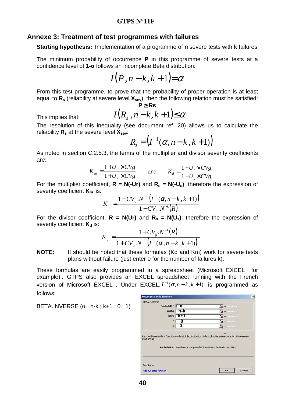#### **Annexe 3: Treatment of test programmes with failures**

**Starting hypothesis:** Implementation of a programme of **n** severe tests with **k** failures

The minimum probability of occurrence **P** in this programme of severe tests at a confidence level of **1-**α follows an incomplete Beta distribution:

$$
I(P,n-k,k+1) = \alpha
$$

From this test programme, to prove that the probability of proper operation is at least equal to **Rs** (reliability at severe level **Xsev**), then the following relation must be satisfied: **P** ≥ **Rs** 

This implies that:

$$
I(R_s, n-k, k+1) \le \alpha
$$

The resolution of this inequality (see document ref. 20) allows us to calculate the reliability **Rs** at the severe level **Xsev**:

$$
R_s = \left(I^{-1}(\alpha, n-k, k+1)\right)
$$

As noted in section C.2.5.3, the terms of the multiplier and divisor severity coefficients are:

$$
K_m = \frac{1 + U_s \times CVg}{1 + U_r \times CVg} \qquad \text{and} \qquad K_d = \frac{1 - U_r \times CVg}{1 - U_s \times CVg}
$$

For the multiplier coefficient,  $R = N(-Ur)$  and  $R_s = N(-U_s)$ ; therefore the expression of severity coefficient **Km** is:

$$
K_{m} = \frac{1 - CV_{g} . N^{-1} (I^{-1}(\alpha, n - k, k + 1))}{1 - CV_{g} . N^{-1}(R)}
$$

For the divisor coefficient,  $R = N(Ur)$  and  $R_s = N(U_s)$ ; therefore the expression of severity coefficient **K**<sup>d</sup> is:

$$
K_{d} = \frac{1 + CV_{g}.N^{-1}(R)}{1 + CV_{g}.N^{-1}(I^{-1}(\alpha, n-k, k+1))}
$$

**NOTE:** It should be noted that these formulas (Kd and Km) work for severe tests plans without failure (just enter 0 for the number of failures k).

These formulas are easily programmed in a spreadsheet (Microsoft EXCEL® for example) : GTPS also provides an EXCEL spreadsheet running with the French version of Microsoft EXCEL<sup>®</sup>. Under EXCEL,  $I^{-1}(\alpha, n-k, k+1)$  is programmed as follows:

BETA.INVERSE  $(\alpha; n-k; k+1; 0; 1)$ 

| Probabilité   O           |           | $\mathbf{X}$ = nombre                                                                                                                                                     |
|---------------------------|-----------|---------------------------------------------------------------------------------------------------------------------------------------------------------------------------|
|                           | Alpha n-k | $\mathbf{X}$ = nombre                                                                                                                                                     |
|                           | Bêta K+1  | $\mathbf{B}$ = nombre                                                                                                                                                     |
| А                         | ŋ         | $\frac{1}{2}$ = nombre                                                                                                                                                    |
| B                         |           | $\mathbf{E}$ = nombre                                                                                                                                                     |
|                           |           |                                                                                                                                                                           |
| Probabilité               |           | Renvoie l'inverse de la fonction de densité de distribution de la probabilité suivant une loi bêta cumulée<br>représente une probabilité associée à la distribution Bêta. |
|                           |           |                                                                                                                                                                           |
| (LOI.BETA).<br>Résultat = |           |                                                                                                                                                                           |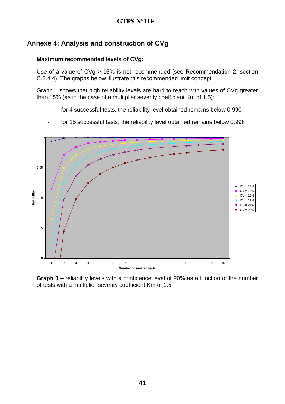#### **Annexe 4: Analysis and construction of CVg**

#### **Maximum recommended levels of CVg:**

Use of a value of CVg > 15% is not recommended (see Recommendation 2, section C.2.4.4). The graphs below illustrate this recommended limit concept.

Graph 1 shows that high reliability levels are hard to reach with values of CVg greater than 15% (as in the case of a multiplier severity coefficient Km of 1.5):

for 4 successful tests, the reliability level obtained remains below 0.990



- for 15 successful tests, the reliability level obtained remains below 0.998

**Graph 1** – reliability levels with a confidence level of 90% as a function of the number of tests with a multiplier severity coefficient Km of 1.5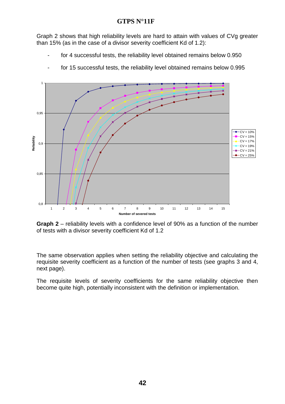Graph 2 shows that high reliability levels are hard to attain with values of CVg greater than 15% (as in the case of a divisor severity coefficient Kd of 1.2):

- for 4 successful tests, the reliability level obtained remains below 0.950



- for 15 successful tests, the reliability level obtained remains below 0.995

**Graph 2** – reliability levels with a confidence level of 90% as a function of the number of tests with a divisor severity coefficient Kd of 1.2

The same observation applies when setting the reliability objective and calculating the requisite severity coefficient as a function of the number of tests (see graphs 3 and 4, next page).

The requisite levels of severity coefficients for the same reliability objective then become quite high, potentially inconsistent with the definition or implementation.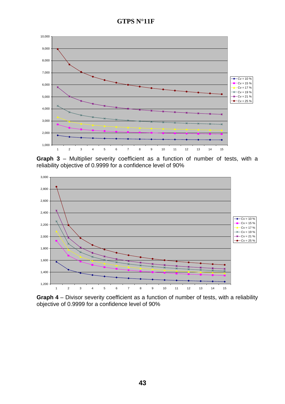**GTPS N°11F** 



**Graph 3** – Multiplier severity coefficient as a function of number of tests, with a reliability objective of 0.9999 for a confidence level of 90%



**Graph 4** – Divisor severity coefficient as a function of number of tests, with a reliability objective of 0.9999 for a confidence level of 90%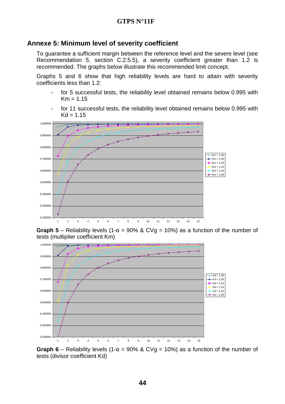#### **Annexe 5: Minimum level of severity coefficient**

To guarantee a sufficient margin between the reference level and the severe level (see Recommendation 5, section C.2.5.5), a severity coefficient greater than 1.2 is recommended. The graphs below illustrate this recommended limit concept.

Graphs 5 and 6 show that high reliability levels are hard to attain with severity coefficients less than 1.2:

- for 5 successful tests, the reliability level obtained remains below 0.995 with  $Km = 1.15$
- for 11 successful tests, the reliability level obtained remains below 0.995 with  $Kd = 1.15$







**Graph 6** – Reliability levels (1- $\alpha$  = 90% & CV $q$  = 10%) as a function of the number of tests (divisor coefficient Kd)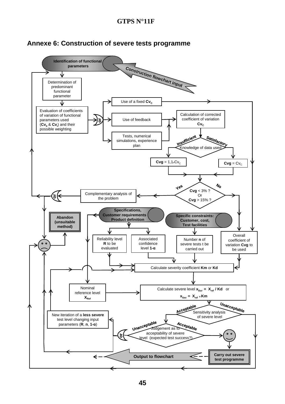

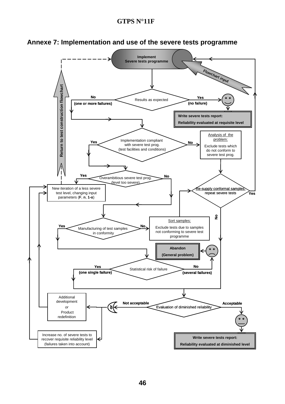